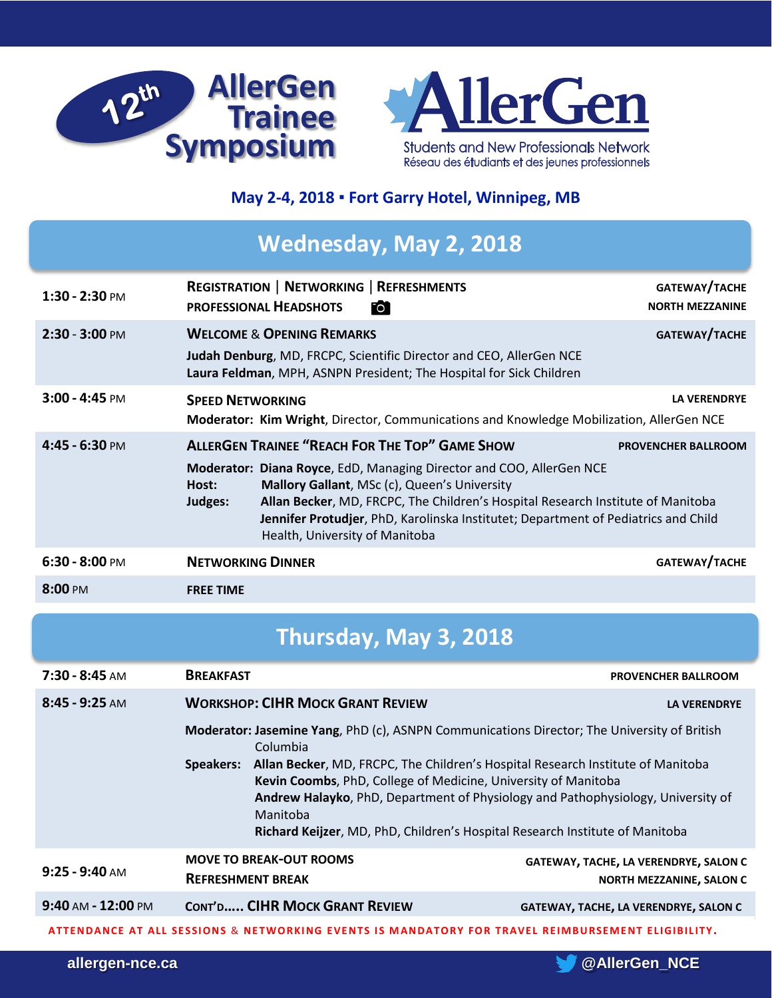



### **May 2-4, 2018 ▪ Fort Garry Hotel, Winnipeg, MB**

# **Wednesday, May 2, 2018**

| $1:30 - 2:30$ PM  | <b>REGISTRATION   NETWORKING   REFRESHMENTS</b><br><b>PROFESSIONAL HEADSHOTS</b><br>Fo i                                                                                                                                                                                                                                                                                                                     | GATEWAY/TACHE<br><b>NORTH MEZZANINE</b> |
|-------------------|--------------------------------------------------------------------------------------------------------------------------------------------------------------------------------------------------------------------------------------------------------------------------------------------------------------------------------------------------------------------------------------------------------------|-----------------------------------------|
| $2:30 - 3:00$ PM  | <b>WELCOME &amp; OPENING REMARKS</b><br>Judah Denburg, MD, FRCPC, Scientific Director and CEO, AllerGen NCE<br>Laura Feldman, MPH, ASNPN President; The Hospital for Sick Children                                                                                                                                                                                                                           | GATEWAY/TACHE                           |
| $3:00 - 4:45$ PM  | <b>SPEED NETWORKING</b><br>Moderator: Kim Wright, Director, Communications and Knowledge Mobilization, AllerGen NCE                                                                                                                                                                                                                                                                                          | <b>LA VERENDRYE</b>                     |
| $4:45 - 6:30$ PM  | <b>ALLERGEN TRAINEE "REACH FOR THE TOP" GAME SHOW</b><br>Moderator: Diana Royce, EdD, Managing Director and COO, AllerGen NCE<br>Mallory Gallant, MSc (c), Queen's University<br>Host:<br>Allan Becker, MD, FRCPC, The Children's Hospital Research Institute of Manitoba<br>Judges:<br>Jennifer Protudjer, PhD, Karolinska Institutet; Department of Pediatrics and Child<br>Health, University of Manitoba | <b>PROVENCHER BALLROOM</b>              |
| $6:30 - 8:00$ PM  | <b>NETWORKING DINNER</b>                                                                                                                                                                                                                                                                                                                                                                                     | GATEWAY/TACHE                           |
| $8:00 \text{ PM}$ | <b>FREE TIME</b>                                                                                                                                                                                                                                                                                                                                                                                             |                                         |

# **Thursday, May 3, 2018**

| $7:30 - 8:45$ AM                                                                                  | <b>BREAKFAST</b>                                                                                                                                                                                                                                                          |                                         | <b>PROVENCHER BALLROOM</b>                                               |  |
|---------------------------------------------------------------------------------------------------|---------------------------------------------------------------------------------------------------------------------------------------------------------------------------------------------------------------------------------------------------------------------------|-----------------------------------------|--------------------------------------------------------------------------|--|
| $8:45 - 9:25$ AM                                                                                  |                                                                                                                                                                                                                                                                           | <b>WORKSHOP: CIHR MOCK GRANT REVIEW</b> | <b>LA VERENDRYE</b>                                                      |  |
|                                                                                                   | Moderator: Jasemine Yang, PhD (c), ASNPN Communications Director; The University of British<br>Columbia<br>Allan Becker, MD, FRCPC, The Children's Hospital Research Institute of Manitoba<br>Speakers:<br>Kevin Coombs, PhD, College of Medicine, University of Manitoba |                                         |                                                                          |  |
|                                                                                                   | Andrew Halayko, PhD, Department of Physiology and Pathophysiology, University of<br>Manitoba<br>Richard Keijzer, MD, PhD, Children's Hospital Research Institute of Manitoba                                                                                              |                                         |                                                                          |  |
| $9:25 - 9:40$ AM                                                                                  | <b>REFRESHMENT BREAK</b>                                                                                                                                                                                                                                                  | <b>MOVE TO BREAK-OUT ROOMS</b>          | GATEWAY, TACHE, LA VERENDRYE, SALON C<br><b>NORTH MEZZANINE, SALON C</b> |  |
| $9:40$ AM - $12:00$ PM                                                                            |                                                                                                                                                                                                                                                                           | <b>CONT'D CIHR MOCK GRANT REVIEW</b>    | <b>GATEWAY, TACHE, LA VERENDRYE, SALON C</b>                             |  |
| ATTENDANCE AT ALL SESSIONS & NETWORKING EVENTS IS MANDATORY FOR TRAVEL REIMBURSEMENT ELIGIBILITY. |                                                                                                                                                                                                                                                                           |                                         |                                                                          |  |

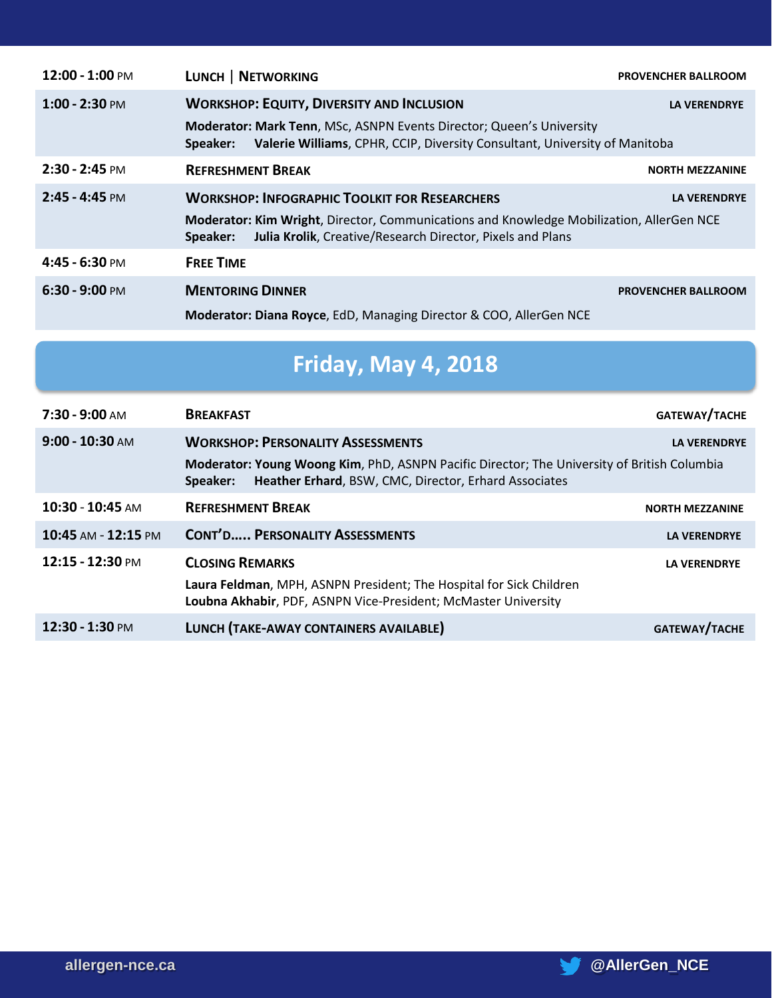| $12:00 - 1:00$ PM | <b>LUNCH   NETWORKING</b>                                                                                                                                          | <b>PROVENCHER BALLROOM</b> |  |
|-------------------|--------------------------------------------------------------------------------------------------------------------------------------------------------------------|----------------------------|--|
| $1:00 - 2:30$ PM  | <b>WORKSHOP: EQUITY, DIVERSITY AND INCLUSION</b>                                                                                                                   | <b>LA VERENDRYE</b>        |  |
|                   | Moderator: Mark Tenn, MSc, ASNPN Events Director; Queen's University<br>Valerie Williams, CPHR, CCIP, Diversity Consultant, University of Manitoba<br>Speaker:     |                            |  |
| $2:30 - 2:45$ PM  | <b>REFRESHMENT BREAK</b>                                                                                                                                           | <b>NORTH MEZZANINE</b>     |  |
| $2:45 - 4:45$ PM  | <b>WORKSHOP: INFOGRAPHIC TOOLKIT FOR RESEARCHERS</b>                                                                                                               | <b>LA VERENDRYE</b>        |  |
|                   | Moderator: Kim Wright, Director, Communications and Knowledge Mobilization, AllerGen NCE<br>Julia Krolik, Creative/Research Director, Pixels and Plans<br>Speaker: |                            |  |
| $4:45 - 6:30$ PM  | <b>FREE TIME</b>                                                                                                                                                   |                            |  |
| $6:30 - 9:00$ PM  | <b>MENTORING DINNER</b>                                                                                                                                            | <b>PROVENCHER BALLROOM</b> |  |
|                   | <b>Moderator: Diana Royce, EdD, Managing Director &amp; COO, AllerGen NCE</b>                                                                                      |                            |  |

# **Friday, May 4, 2018**

| $7:30 - 9:00$ AM    | <b>BREAKFAST</b>                                                                                                                                                                                                                    | GATEWAY/TACHE          |  |
|---------------------|-------------------------------------------------------------------------------------------------------------------------------------------------------------------------------------------------------------------------------------|------------------------|--|
| $9:00 - 10:30$ AM   | <b>WORKSHOP: PERSONALITY ASSESSMENTS</b><br><b>LA VERENDRYE</b><br>Moderator: Young Woong Kim, PhD, ASNPN Pacific Director; The University of British Columbia<br>Heather Erhard, BSW, CMC, Director, Erhard Associates<br>Speaker: |                        |  |
| $10:30 - 10:45$ AM  | <b>REFRESHMENT BREAK</b>                                                                                                                                                                                                            | <b>NORTH MEZZANINE</b> |  |
| 10:45 AM - 12:15 PM | <b>CONT'D PERSONALITY ASSESSMENTS</b>                                                                                                                                                                                               | <b>LA VERENDRYE</b>    |  |
| 12:15 - 12:30 PM    | <b>CLOSING REMARKS</b><br>Laura Feldman, MPH, ASNPN President; The Hospital for Sick Children<br>Loubna Akhabir, PDF, ASNPN Vice-President; McMaster University                                                                     | <b>LA VERENDRYE</b>    |  |
| 12:30 - 1:30 PM     | LUNCH (TAKE-AWAY CONTAINERS AVAILABLE)                                                                                                                                                                                              | GATEWAY/TACHE          |  |

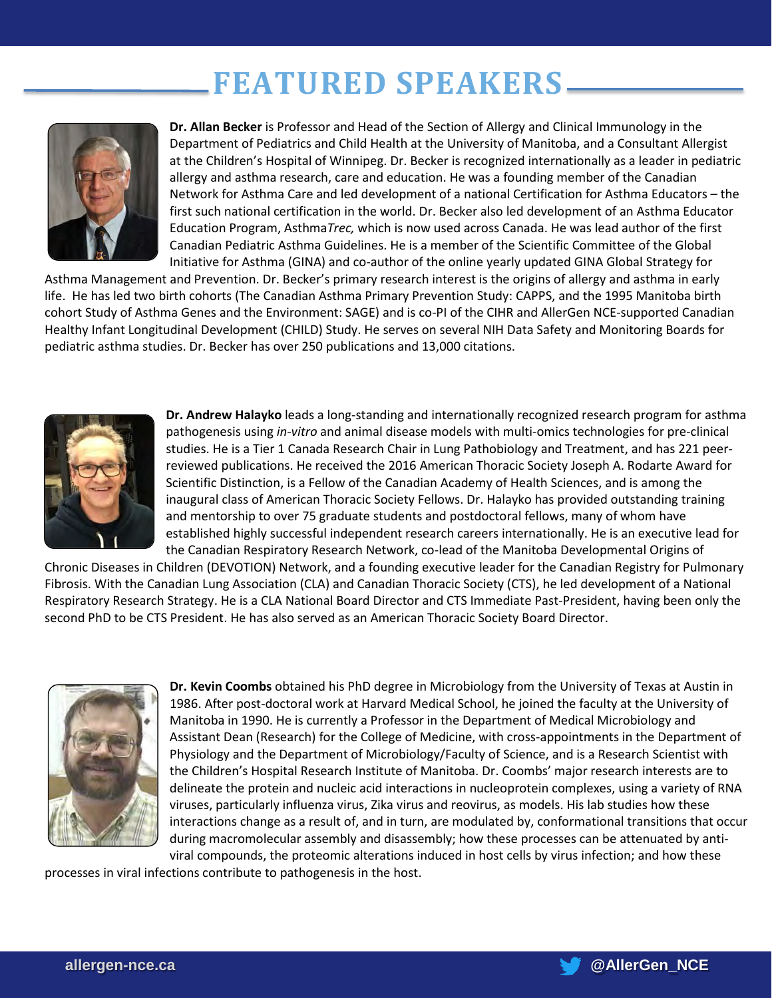# **FEATURED SPEAKERS**



**Dr. Allan Becker** is Professor and Head of the Section of Allergy and Clinical Immunology in the Department of Pediatrics and Child Health at the University of Manitoba, and a Consultant Allergist at the Children's Hospital of Winnipeg. Dr. Becker is recognized internationally as a leader in pediatric allergy and asthma research, care and education. He was a founding member of the Canadian Network for Asthma Care and led development of a national Certification for Asthma Educators – the first such national certification in the world. Dr. Becker also led development of an Asthma Educator Education Program, Asthma*Trec,* which is now used across Canada. He was lead author of the first Canadian Pediatric Asthma Guidelines. He is a member of the Scientific Committee of the Global Initiative for Asthma (GINA) and co-author of the online yearly updated GINA Global Strategy for

Asthma Management and Prevention. Dr. Becker's primary research interest is the origins of allergy and asthma in early life. He has led two birth cohorts (The Canadian Asthma Primary Prevention Study: CAPPS, and the 1995 Manitoba birth cohort Study of Asthma Genes and the Environment: SAGE) and is co-PI of the CIHR and AllerGen NCE-supported Canadian Healthy Infant Longitudinal Development (CHILD) Study. He serves on several NIH Data Safety and Monitoring Boards for pediatric asthma studies. Dr. Becker has over 250 publications and 13,000 citations.



**Dr. Andrew Halayko** leads a long-standing and internationally recognized research program for asthma pathogenesis using *in-vitro* and animal disease models with multi-omics technologies for pre-clinical studies. He is a Tier 1 Canada Research Chair in Lung Pathobiology and Treatment, and has 221 peerreviewed publications. He received the 2016 American Thoracic Society Joseph A. Rodarte Award for Scientific Distinction, is a Fellow of the Canadian Academy of Health Sciences, and is among the inaugural class of American Thoracic Society Fellows. Dr. Halayko has provided outstanding training and mentorship to over 75 graduate students and postdoctoral fellows, many of whom have established highly successful independent research careers internationally. He is an executive lead for the Canadian Respiratory Research Network, co-lead of the Manitoba Developmental Origins of

Chronic Diseases in Children (DEVOTION) Network, and a founding executive leader for the Canadian Registry for Pulmonary Fibrosis. With the Canadian Lung Association (CLA) and Canadian Thoracic Society (CTS), he led development of a National Respiratory Research Strategy. He is a CLA National Board Director and CTS Immediate Past-President, having been only the second PhD to be CTS President. He has also served as an American Thoracic Society Board Director.



**Dr. Kevin Coombs** obtained his PhD degree in Microbiology from the University of Texas at Austin in 1986. After post-doctoral work at Harvard Medical School, he joined the faculty at the University of Manitoba in 1990. He is currently a Professor in the Department of Medical Microbiology and Assistant Dean (Research) for the College of Medicine, with cross-appointments in the Department of Physiology and the Department of Microbiology/Faculty of Science, and is a Research Scientist with the Children's Hospital Research Institute of Manitoba. Dr. Coombs' major research interests are to delineate the protein and nucleic acid interactions in nucleoprotein complexes, using a variety of RNA viruses, particularly influenza virus, Zika virus and reovirus, as models. His lab studies how these interactions change as a result of, and in turn, are modulated by, conformational transitions that occur during macromolecular assembly and disassembly; how these processes can be attenuated by antiviral compounds, the proteomic alterations induced in host cells by virus infection; and how these

processes in viral infections contribute to pathogenesis in the host.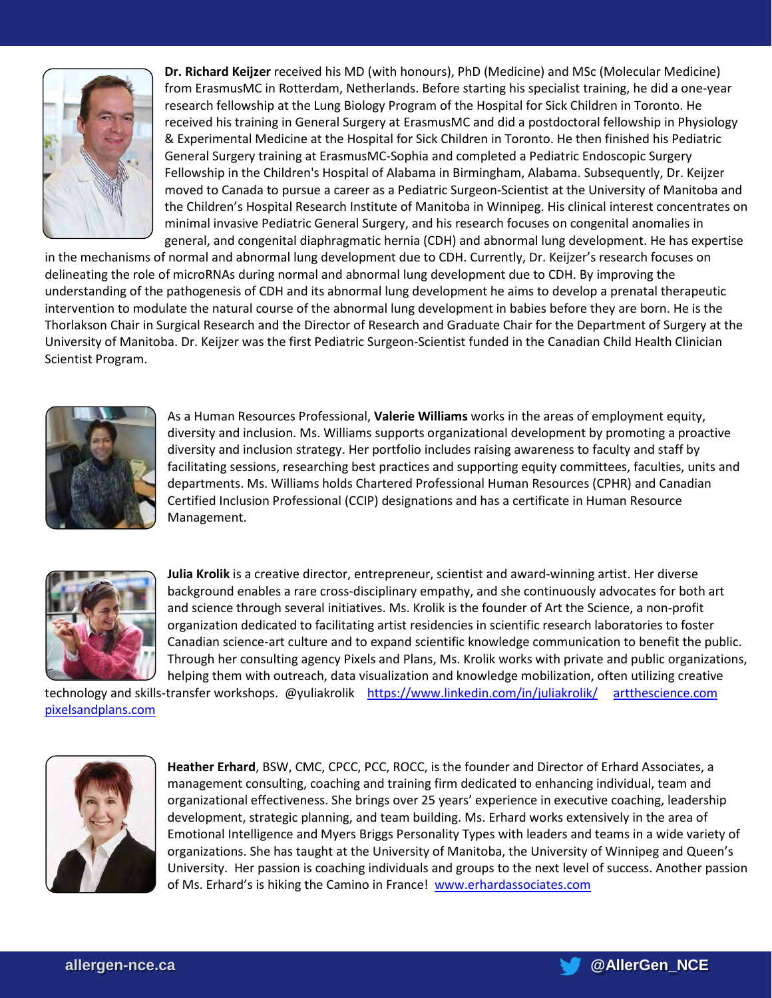

**Dr. Richard Keijzer** received his MD (with honours), PhD (Medicine) and MSc (Molecular Medicine) from ErasmusMC in Rotterdam, Netherlands. Before starting his specialist training, he did a one-year research fellowship at the Lung Biology Program of the Hospital for Sick Children in Toronto. He received his training in General Surgery at ErasmusMC and did a postdoctoral fellowship in Physiology & Experimental Medicine at the Hospital for Sick Children in Toronto. He then finished his Pediatric General Surgery training at ErasmusMC-Sophia and completed a Pediatric Endoscopic Surgery Fellowship in the Children's Hospital of Alabama in Birmingham, Alabama. Subsequently, Dr. Keijzer moved to Canada to pursue a career as a Pediatric Surgeon-Scientist at the University of Manitoba and the Children's Hospital Research Institute of Manitoba in Winnipeg. His clinical interest concentrates on minimal invasive Pediatric General Surgery, and his research focuses on congenital anomalies in general, and congenital diaphragmatic hernia (CDH) and abnormal lung development. He has expertise

in the mechanisms of normal and abnormal lung development due to CDH. Currently, Dr. Keijzer's research focuses on delineating the role of microRNAs during normal and abnormal lung development due to CDH. By improving the understanding of the pathogenesis of CDH and its abnormal lung development he aims to develop a prenatal therapeutic intervention to modulate the natural course of the abnormal lung development in babies before they are born. He is the Thorlakson Chair in Surgical Research and the Director of Research and Graduate Chair for the Department of Surgery at the University of Manitoba. Dr. Keijzer was the first Pediatric Surgeon-Scientist funded in the Canadian Child Health Clinician Scientist Program.



As a Human Resources Professional, **Valerie Williams** works in the areas of employment equity, diversity and inclusion. Ms. Williams supports organizational development by promoting a proactive diversity and inclusion strategy. Her portfolio includes raising awareness to faculty and staff by facilitating sessions, researching best practices and supporting equity committees, faculties, units and departments. Ms. Williams holds Chartered Professional Human Resources (CPHR) and Canadian Certified Inclusion Professional (CCIP) designations and has a certificate in Human Resource Management.



**Julia Krolik** is a creative director, entrepreneur, scientist and award-winning artist. Her diverse background enables a rare cross-disciplinary empathy, and she continuously advocates for both art and science through several initiatives. Ms. Krolik is the founder of Art the Science, a non-profit organization dedicated to facilitating artist residencies in scientific research laboratories to foster Canadian science-art culture and to expand scientific knowledge communication to benefit the public. Through her consulting agency Pixels and Plans, Ms. Krolik works with private and public organizations, helping them with outreach, data visualization and knowledge mobilization, often utilizing creative

technology and skills-transfer workshops. @yuliakrolik <https://www.linkedin.com/in/juliakrolik/> artthescience.com [pixelsandplans.com](http://pixelsandplans.com/)



**Heather Erhard**, BSW, CMC, CPCC, PCC, ROCC, is the founder and Director of Erhard Associates, a management consulting, coaching and training firm dedicated to enhancing individual, team and organizational effectiveness. She brings over 25 years' experience in executive coaching, leadership development, strategic planning, and team building. Ms. Erhard works extensively in the area of Emotional Intelligence and Myers Briggs Personality Types with leaders and teams in a wide variety of organizations. She has taught at the University of Manitoba, the University of Winnipeg and Queen's University. Her passion is coaching individuals and groups to the next level of success. Another passion of Ms. Erhard's is hiking the Camino in France! [www.erhardassociates.com](http://www.erhardassociates.com/)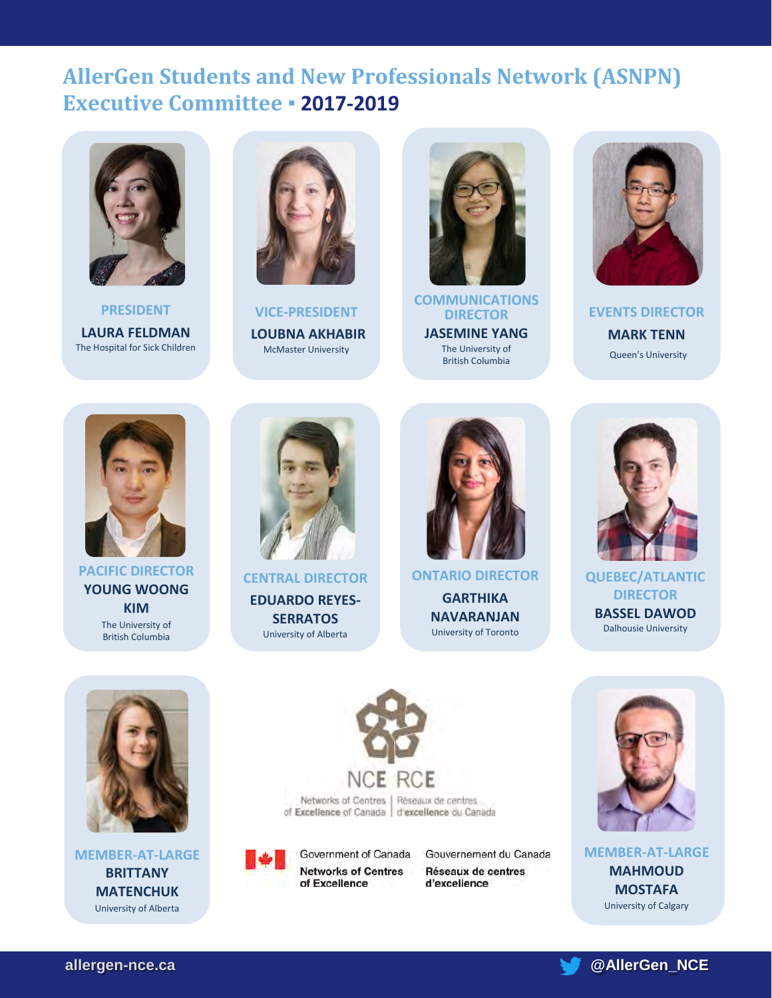## **AllerGen [Students and New Professionals Network \(ASNPN\)](http://allergen-nce.ca/hqp/asnpn/asnpn-exec-committee/)  Executive Committee ▪ 2017-2019**



**PRESIDENT LAURA FELDMAN** The Hospital for Sick Children



**VICE-PRESIDENT LOUBNA AKHABIR**  McMaster University



**COMMUNICATIONS DIRECTOR JASEMINE YANG** The University of British Columbia



**EVENTS DIRECTOR MARK TENN** Queen's University



#### **PACIFIC DIRECTOR YOUNG WOONG KIM**  The University of British Columbia



**CENTRAL DIRECTOR EDUARDO REYES-SERRATOS** University of Alberta



**ONTARIO DIRECTOR GARTHIKA NAVARANJAN** University of Toronto



**QUEBEC/ATLANTIC DIRECTOR BASSEL DAWOD** Dalhousie University



**MEMBER-AT-LARGE BRITTANY MATENCHUK**  University of Alberta



Government of Canada **Networks of Centres** of Excellence

Gouvernement du Canada Réseaux de centres d'excellence



**MEMBER-AT-LARGE MAHMOUD MOSTAFA** University of Calgary